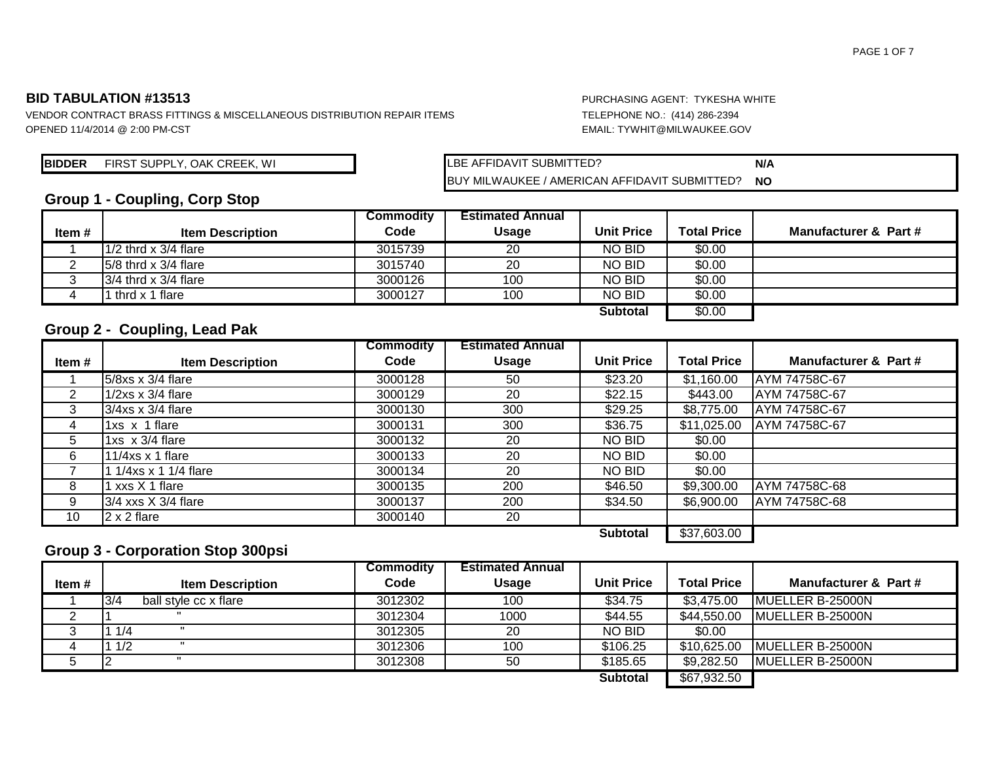VENDOR CONTRACT BRASS FITTINGS & MISCELLANEOUS DISTRIBUTION REPAIR ITEMS TELEPHONE NO.: (414) 286-2394 OPENED 11/4/2014 @ 2:00 PM-CST EMAIL: TYWHIT@MILWAUKEE.GOV

**BIDDER** FIRST SUPPLY, OAK CREEK, WI **N/A** LBE AFFIDAVIT SUBMITTED?

**NO** LBE AFFIDAVIT SUBMITTED? BUY MILWAUKEE / AMERICAN AFFIDAVIT SUBMITTED?

## **Group 1 - Coupling, Corp Stop**

|       |                          | <b>Commodity</b> | <b>Estimated Annual</b> |                   |                    |                       |
|-------|--------------------------|------------------|-------------------------|-------------------|--------------------|-----------------------|
| Item# | <b>Item Description</b>  | Code             | Usage                   | <b>Unit Price</b> | <b>Total Price</b> | Manufacturer & Part # |
|       | $1/2$ thrd x 3/4 flare   | 3015739          | 20                      | <b>NO BID</b>     | \$0.00             |                       |
|       | $15/8$ thrd x 3/4 flare  | 3015740          | 20                      | NO BID            | \$0.00             |                       |
|       | $3/4$ thrd x $3/4$ flare | 3000126          | 100                     | NO BID            | \$0.00             |                       |
|       | thrd x 1 flare           | 3000127          | 100                     | NO BID            | \$0.00             |                       |
|       |                          |                  |                         | <b>Subtotal</b>   | \$0.00             |                       |

### **Group 2 - Coupling, Lead Pak**

|       |                          | <b>Commodity</b> | <b>Estimated Annual</b> |                   |                    |                       |
|-------|--------------------------|------------------|-------------------------|-------------------|--------------------|-----------------------|
| Item# | <b>Item Description</b>  | Code             | <b>Usage</b>            | <b>Unit Price</b> | <b>Total Price</b> | Manufacturer & Part # |
|       | 5/8xs x 3/4 flare        | 3000128          | 50                      | \$23.20           | \$1,160.00         | AYM 74758C-67         |
| 2     | $1/2xs \times 3/4$ flare | 3000129          | 20                      | \$22.15           | \$443.00           | AYM 74758C-67         |
| 3     | $3/4x$ s x $3/4$ flare   | 3000130          | 300                     | \$29.25           | \$8,775.00         | AYM 74758C-67         |
| 4     | 1xs x 1 flare            | 3000131          | 300                     | \$36.75           | \$11,025.00        | AYM 74758C-67         |
| 5     | 1xs $\times$ 3/4 flare   | 3000132          | 20                      | NO BID            | \$0.00             |                       |
| 6     | 11/4xs $x$ 1 flare       | 3000133          | 20                      | NO BID            | \$0.00             |                       |
|       | 1/4xs x 1 1/4 flare      | 3000134          | 20                      | NO BID            | \$0.00             |                       |
| 8     | l xxs X 1 flare          | 3000135          | 200                     | \$46.50           | \$9,300.00         | AYM 74758C-68         |
| 9     | $3/4$ xxs $X$ 3/4 flare  | 3000137          | 200                     | \$34.50           | \$6,900.00         | AYM 74758C-68         |
| 10    | $2 \times 2$ flare       | 3000140          | 20                      |                   |                    |                       |
|       |                          |                  |                         | <b>Subtotal</b>   | \$37,603.00        |                       |

### **Group 3 - Corporation Stop 300psi**

|        |                              | <b>Commodity</b> | <b>Estimated Annual</b> |                   |                    |                       |
|--------|------------------------------|------------------|-------------------------|-------------------|--------------------|-----------------------|
| Item # | <b>Item Description</b>      | Code             | <b>Usage</b>            | <b>Unit Price</b> | <b>Total Price</b> | Manufacturer & Part # |
|        | 3/4<br>ball style cc x flare | 3012302          | 100                     | \$34.75           | \$3,475.00         | MUELLER B-25000N      |
|        |                              | 3012304          | 1000                    | \$44.55           | \$44,550.00        | IMUELLER B-25000N     |
|        | 11/4                         | 3012305          | 20                      | NO BID            | \$0.00             |                       |
|        | 11/2                         | 3012306          | 100                     | \$106.25          | \$10,625.00        | MUELLER B-25000N      |
|        |                              | 3012308          | 50                      | \$185.65          | \$9,282.50         | IMUELLER B-25000N     |
|        |                              |                  |                         | Subtotal          | \$67,932.50        |                       |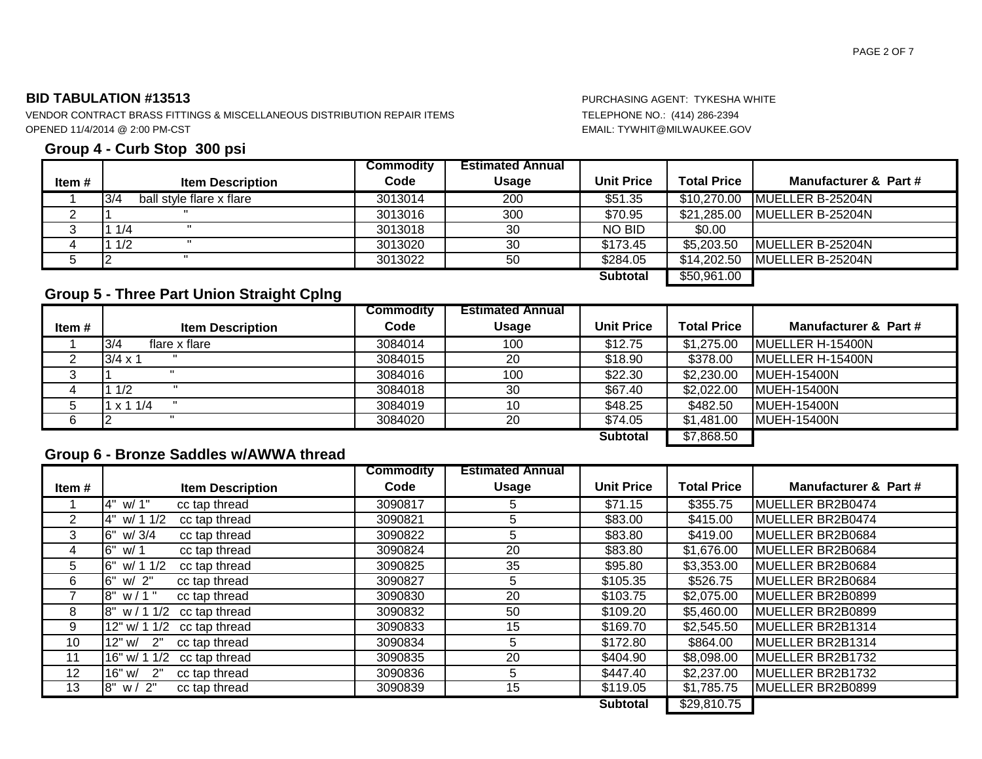VENDOR CONTRACT BRASS FITTINGS & MISCELLANEOUS DISTRIBUTION REPAIR ITEMS TELEPHONE NO.: (414) 286-2394 OPENED 11/4/2014 @ 2:00 PM-CST EMAIL: TYWHIT@MILWAUKEE.GOV

### **Group 4 - Curb Stop 300 psi**

|          |                                 | <b>Commodity</b> | <b>Estimated Annual</b> |                   |                    |                          |
|----------|---------------------------------|------------------|-------------------------|-------------------|--------------------|--------------------------|
| Item#    | <b>Item Description</b>         | Code             | <b>Usage</b>            | <b>Unit Price</b> | <b>Total Price</b> | Manufacturer & Part #    |
|          | 3/4<br>ball style flare x flare | 3013014          | 200                     | \$51.35           | \$10,270.00        | IMUELLER B-25204N        |
| <u>_</u> |                                 | 3013016          | 300                     | \$70.95           | \$21,285.00        | MUELLER B-25204N         |
| ت        | 1/4                             | 3013018          | 30                      | NO BID            | \$0.00             |                          |
|          | 1 1/2                           | 3013020          | 30                      | \$173.45          | \$5,203.50         | <b>IMUELLER B-25204N</b> |
|          |                                 | 3013022          | 50                      | \$284.05          | \$14,202.50        | MUELLER B-25204N         |
|          |                                 |                  |                         | <b>Subtotal</b>   | \$50,961.00        |                          |

## **Group 5 - Three Part Union Straight Cplng**

|       |                         | <b>Commodity</b> | <b>Estimated Annual</b> |                   |                    |                          |
|-------|-------------------------|------------------|-------------------------|-------------------|--------------------|--------------------------|
| Item# | <b>Item Description</b> | Code             | <b>Usage</b>            | <b>Unit Price</b> | <b>Total Price</b> | Manufacturer & Part #    |
|       | 3/4<br>flare x flare    | 3084014          | 100                     | \$12.75           | \$1,275.00         | <b>IMUELLER H-15400N</b> |
|       | $3/4 \times 1$          | 3084015          | 20                      | \$18.90           | \$378.00           | MUELLER H-15400N         |
|       |                         | 3084016          | 100                     | \$22.30           | \$2,230.00         | <b>IMUEH-15400N</b>      |
|       | 11/2                    | 3084018          | 30                      | \$67.40           | \$2,022.00         | <b>IMUEH-15400N</b>      |
|       | x 11/4                  | 3084019          | 10                      | \$48.25           | \$482.50           | <b>MUEH-15400N</b>       |
| 6     |                         | 3084020          | 20                      | \$74.05           | \$1,481.00         | <b>IMUEH-15400N</b>      |
|       |                         |                  |                         | <b>Subtotal</b>   | \$7,868.50         |                          |

### **Group 6 - Bronze Saddles w/AWWA thread**

|        |                                    | <b>Commodity</b> | <b>Estimated Annual</b> |                   |                    |                       |
|--------|------------------------------------|------------------|-------------------------|-------------------|--------------------|-----------------------|
| Item # | <b>Item Description</b>            | Code             | <b>Usage</b>            | <b>Unit Price</b> | <b>Total Price</b> | Manufacturer & Part # |
|        | 4" w/ 1"<br>cc tap thread          | 3090817          | 5                       | \$71.15           | \$355.75           | MUELLER BR2B0474      |
| 2      | 4" w/ 1 1/2<br>cc tap thread       | 3090821          | 5                       | \$83.00           | \$415.00           | MUELLER BR2B0474      |
| 3      | l6"<br>w/3/4<br>cc tap thread      | 3090822          | 5                       | \$83.80           | \$419.00           | MUELLER BR2B0684      |
| 4      | <b>6"</b><br>cc tap thread<br>w/ 1 | 3090824          | 20                      | \$83.80           | \$1,676.00         | MUELLER BR2B0684      |
| 5      | l6"<br>w/ 1 1/2<br>cc tap thread   | 3090825          | 35                      | \$95.80           | \$3,353.00         | MUELLER BR2B0684      |
| 6      | 6"<br>w/2"<br>cc tap thread        | 3090827          | 5                       | \$105.35          | \$526.75           | MUELLER BR2B0684      |
|        | l8"<br>$w/1$ "<br>cc tap thread    | 3090830          | 20                      | \$103.75          | \$2,075.00         | MUELLER BR2B0899      |
| 8      | l8"<br>w/11/2<br>cc tap thread     | 3090832          | 50                      | \$109.20          | \$5,460.00         | MUELLER BR2B0899      |
| 9      | 12" w/ 1 1/2<br>cc tap thread      | 3090833          | 15                      | \$169.70          | \$2,545.50         | MUELLER BR2B1314      |
| 10     | 12" w/<br>2"<br>cc tap thread      | 3090834          | 5                       | \$172.80          | \$864.00           | MUELLER BR2B1314      |
| 11     | 16" w/ 1 1/2<br>cc tap thread      | 3090835          | 20                      | \$404.90          | \$8,098.00         | MUELLER BR2B1732      |
| 12     | 16" w/<br>2"<br>cc tap thread      | 3090836          | 5                       | \$447.40          | \$2,237.00         | MUELLER BR2B1732      |
| 13     | 8" w / 2"<br>cc tap thread         | 3090839          | 15                      | \$119.05          | \$1,785.75         | MUELLER BR2B0899      |
|        |                                    |                  |                         | <b>Subtotal</b>   | \$29,810.75        |                       |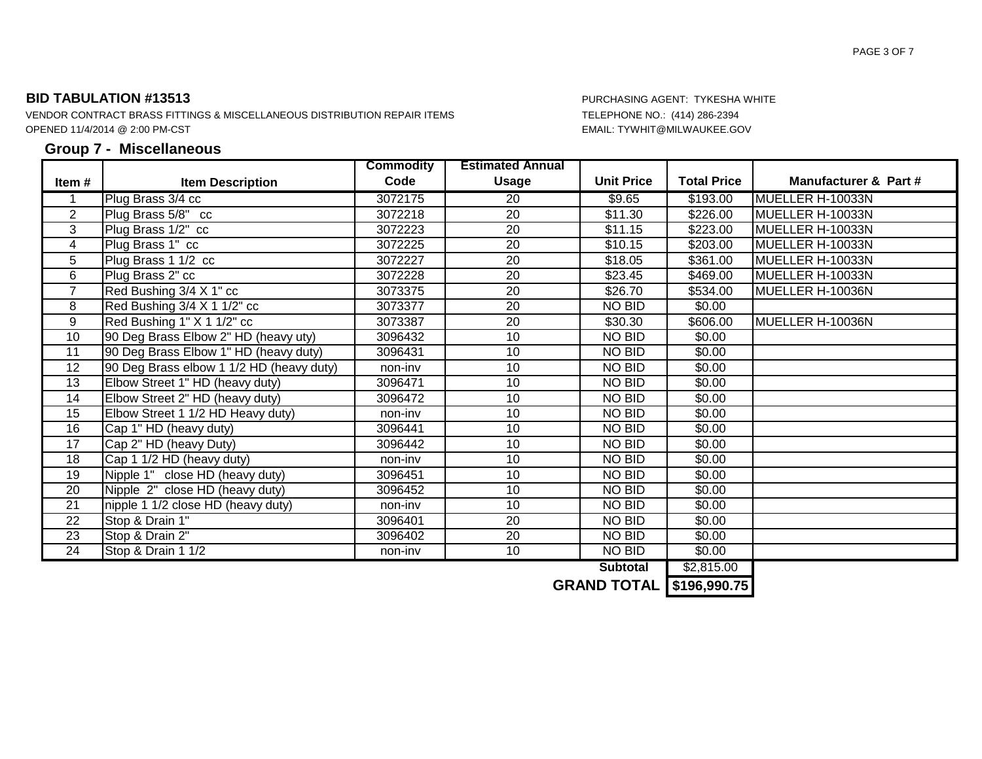VENDOR CONTRACT BRASS FITTINGS & MISCELLANEOUS DISTRIBUTION REPAIR ITEMS TELEPHONE NO.: (414) 286-2394 OPENED 11/4/2014 @ 2:00 PM-CST EMAIL: TYWHIT@MILWAUKEE.GOV

### **Group 7 - Miscellaneous**

|                |                                          | <b>Commodity</b> | <b>Estimated Annual</b> |                   |                    |                       |
|----------------|------------------------------------------|------------------|-------------------------|-------------------|--------------------|-----------------------|
| Item #         | <b>Item Description</b>                  | Code             | <b>Usage</b>            | <b>Unit Price</b> | <b>Total Price</b> | Manufacturer & Part # |
| 1              | Plug Brass 3/4 cc                        | 3072175          | 20                      | \$9.65            | \$193.00           | MUELLER H-10033N      |
| $\overline{2}$ | Plug Brass 5/8" cc                       | 3072218          | 20                      | \$11.30           | \$226.00           | MUELLER H-10033N      |
| 3              | Plug Brass 1/2" cc                       | 3072223          | 20                      | \$11.15           | \$223.00           | MUELLER H-10033N      |
| 4              | Plug Brass 1" cc                         | 3072225          | $\overline{20}$         | \$10.15           | \$203.00           | MUELLER H-10033N      |
| 5              | Plug Brass 1 1/2 cc                      | 3072227          | $\overline{20}$         | \$18.05           | \$361.00           | MUELLER H-10033N      |
| $\overline{6}$ | Plug Brass 2" cc                         | 3072228          | $\overline{20}$         | \$23.45           | $\sqrt{$469.00}$   | MUELLER H-10033N      |
| $\overline{7}$ | Red Bushing 3/4 X 1" cc                  | 3073375          | 20                      | \$26.70           | \$534.00           | MUELLER H-10036N      |
| 8              | Red Bushing 3/4 X 1 1/2" cc              | 3073377          | 20                      | NO BID            | \$0.00             |                       |
| 9              | Red Bushing 1" X 1 1/2" cc               | 3073387          | 20                      | \$30.30           | \$606.00           | MUELLER H-10036N      |
| 10             | 90 Deg Brass Elbow 2" HD (heavy uty)     | 3096432          | 10                      | NO BID            | \$0.00             |                       |
| 11             | 90 Deg Brass Elbow 1" HD (heavy duty)    | 3096431          | 10                      | NO BID            | \$0.00             |                       |
| 12             | 90 Deg Brass elbow 1 1/2 HD (heavy duty) | non-inv          | 10                      | NO BID            | \$0.00             |                       |
| 13             | Elbow Street 1" HD (heavy duty)          | 3096471          | 10                      | NO BID            | \$0.00             |                       |
| 14             | Elbow Street 2" HD (heavy duty)          | 3096472          | 10                      | NO BID            | \$0.00             |                       |
| 15             | Elbow Street 1 1/2 HD Heavy duty)        | non-inv          | 10                      | NO BID            | \$0.00             |                       |
| 16             | Cap 1" HD (heavy duty)                   | 3096441          | 10                      | NO BID            | \$0.00             |                       |
| 17             | Cap 2" HD (heavy Duty)                   | 3096442          | 10                      | NO BID            | \$0.00             |                       |
| 18             | Cap 1 1/2 HD (heavy duty)                | non-inv          | 10                      | NO BID            | \$0.00             |                       |
| 19             | Nipple 1" close HD (heavy duty)          | 3096451          | 10                      | NO BID            | \$0.00             |                       |
| 20             | Nipple 2" close HD (heavy duty)          | 3096452          | 10                      | NO BID            | \$0.00             |                       |
| 21             | nipple 1 1/2 close HD (heavy duty)       | non-inv          | 10                      | NO BID            | \$0.00             |                       |
| 22             | Stop & Drain 1"                          | 3096401          | 20                      | NO BID            | \$0.00             |                       |
| 23             | Stop & Drain 2"                          | 3096402          | 20                      | NO BID            | \$0.00             |                       |
| 24             | Stop & Drain 1 1/2                       | non-inv          | 10                      | NO BID            | \$0.00             |                       |
|                |                                          |                  |                         | <b>Subtotal</b>   | \$2,815.00         |                       |

**GRAND TOTAL \$196,990.75**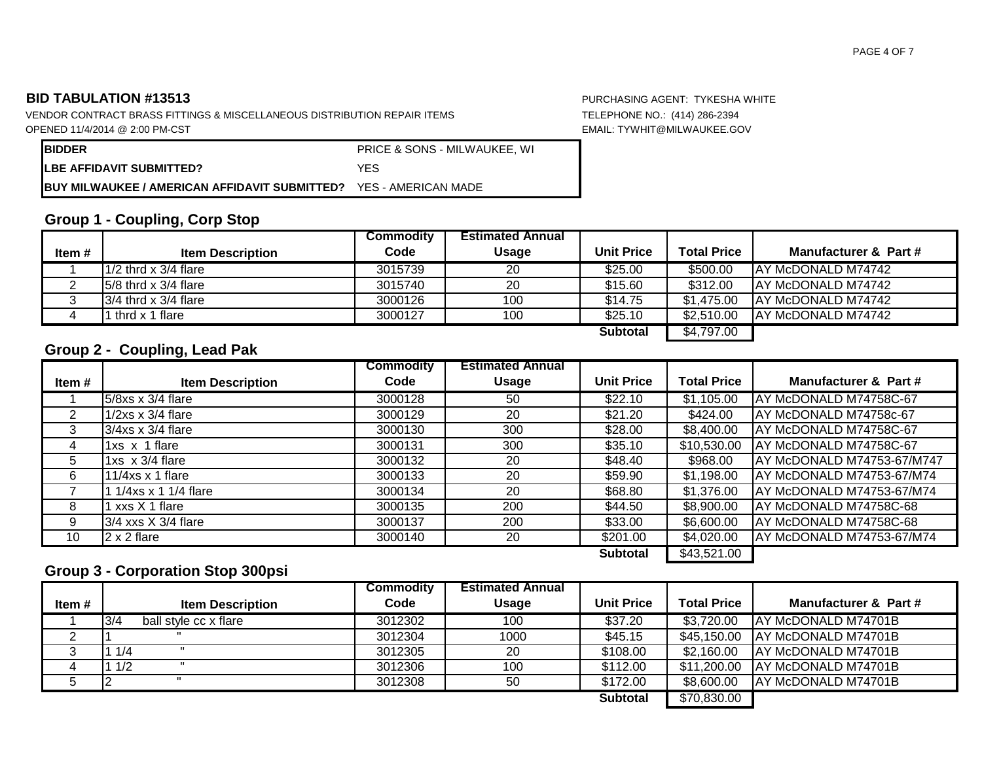VENDOR CONTRACT BRASS FITTINGS & MISCELLANEOUS DISTRIBUTION REPAIR ITEMS TELEPHONE NO.: (414) 286-2394 OPENED 11/4/2014 @ 2:00 PM-CST EMAIL: TYWHIT@MILWAUKEE.GOV

| <b>IBIDDER</b>                                                    | <b>PRICE &amp; SONS - MILWAUKEE, WI</b> |
|-------------------------------------------------------------------|-----------------------------------------|
| <b>LBE AFFIDAVIT SUBMITTED?</b>                                   | YFS                                     |
| BUY MILWAUKEE / AMERICAN AFFIDAVIT SUBMITTED? YES - AMERICAN MADE |                                         |

# **Group 1 - Coupling, Corp Stop**

|        |                           | Commodity | <b>Estimated Annual</b> |                   |                    |                       |
|--------|---------------------------|-----------|-------------------------|-------------------|--------------------|-----------------------|
| Item # | <b>Item Description</b>   | Code      | <b>Usage</b>            | <b>Unit Price</b> | <b>Total Price</b> | Manufacturer & Part # |
|        | $1/2$ thrd x 3/4 flare    | 3015739   | 20                      | \$25.00           | \$500.00           | IAY McDONALD M74742   |
|        | $15/8$ thrd x $3/4$ flare | 3015740   | 20                      | \$15.60           | \$312.00           | IAY McDONALD M74742   |
|        | $13/4$ thrd x $3/4$ flare | 3000126   | 100                     | \$14.75           | \$1.475.00         | IAY McDONALD M74742   |
| 4      | thrd x 1 flare            | 3000127   | 100                     | \$25.10           | \$2.510.00         | IAY McDONALD M74742   |
|        |                           |           |                         | <b>Subtotal</b>   | \$4,797.00         |                       |

## **Group 2 - Coupling, Lead Pak**

|       |                           | <b>Commodity</b> | <b>Estimated Annual</b> |                   |                    |                            |
|-------|---------------------------|------------------|-------------------------|-------------------|--------------------|----------------------------|
| Item# | <b>Item Description</b>   | Code             | <b>Usage</b>            | <b>Unit Price</b> | <b>Total Price</b> | Manufacturer & Part #      |
|       | 5/8xs x 3/4 flare         | 3000128          | 50                      | \$22.10           | \$1,105.00         | AY McDONALD M74758C-67     |
| 2     | $1/2xs \times 3/4$ flare  | 3000129          | 20                      | \$21.20           | \$424.00           | AY McDONALD M74758c-67     |
| 3     | $3/4x$ s x $3/4$ flare    | 3000130          | 300                     | \$28.00           | \$8,400.00         | AY McDONALD M74758C-67     |
| 4     | 1xs x 1 flare             | 3000131          | 300                     | \$35.10           | \$10,530.00        | AY McDONALD M74758C-67     |
| 5     | 1 $xs$ $\times$ 3/4 flare | 3000132          | 20                      | \$48.40           | \$968.00           | AY McDONALD M74753-67/M747 |
| 6     | 11/4xs $x$ 1 flare        | 3000133          | 20                      | \$59.90           | \$1,198.00         | AY McDONALD M74753-67/M74  |
|       | 1/4xs x 1 1/4 flare       | 3000134          | 20                      | \$68.80           | \$1,376.00         | AY McDONALD M74753-67/M74  |
| 8     | 1 xxs X 1 flare           | 3000135          | 200                     | \$44.50           | \$8,900.00         | AY McDONALD M74758C-68     |
| 9     | $3/4$ xxs $X$ 3/4 flare   | 3000137          | 200                     | \$33.00           | \$6,600.00         | AY McDONALD M74758C-68     |
| 10    | $2 \times 2$ flare        | 3000140          | 20                      | \$201.00          | \$4,020.00         | AY McDONALD M74753-67/M74  |
|       |                           |                  |                         | <b>Subtotal</b>   | \$43,521.00        |                            |

## **Group 3 - Corporation Stop 300psi**

|        |                              | <b>Commodity</b> | <b>Estimated Annual</b> |                   |                    |                             |
|--------|------------------------------|------------------|-------------------------|-------------------|--------------------|-----------------------------|
| Item # | <b>Item Description</b>      | Code             | <b>Usage</b>            | <b>Unit Price</b> | <b>Total Price</b> | Manufacturer & Part #       |
|        | 3/4<br>ball style cc x flare | 3012302          | 100                     | \$37.20           | \$3,720.00         | <b>JAY McDONALD M74701B</b> |
|        |                              | 3012304          | 1000                    | \$45.15           | \$45,150.00        | IAY McDONALD M74701B        |
|        | 1/4                          | 3012305          | 20                      | \$108.00          | \$2,160.00         | IAY McDONALD M74701B        |
|        | 1/2                          | 3012306          | 100                     | \$112.00          | \$11,200.00        | IAY McDONALD M74701B        |
|        |                              | 3012308          | 50                      | \$172.00          | \$8,600.00         | <b>JAY McDONALD M74701B</b> |
|        |                              |                  |                         | <b>Subtotal</b>   | \$70,830.00        |                             |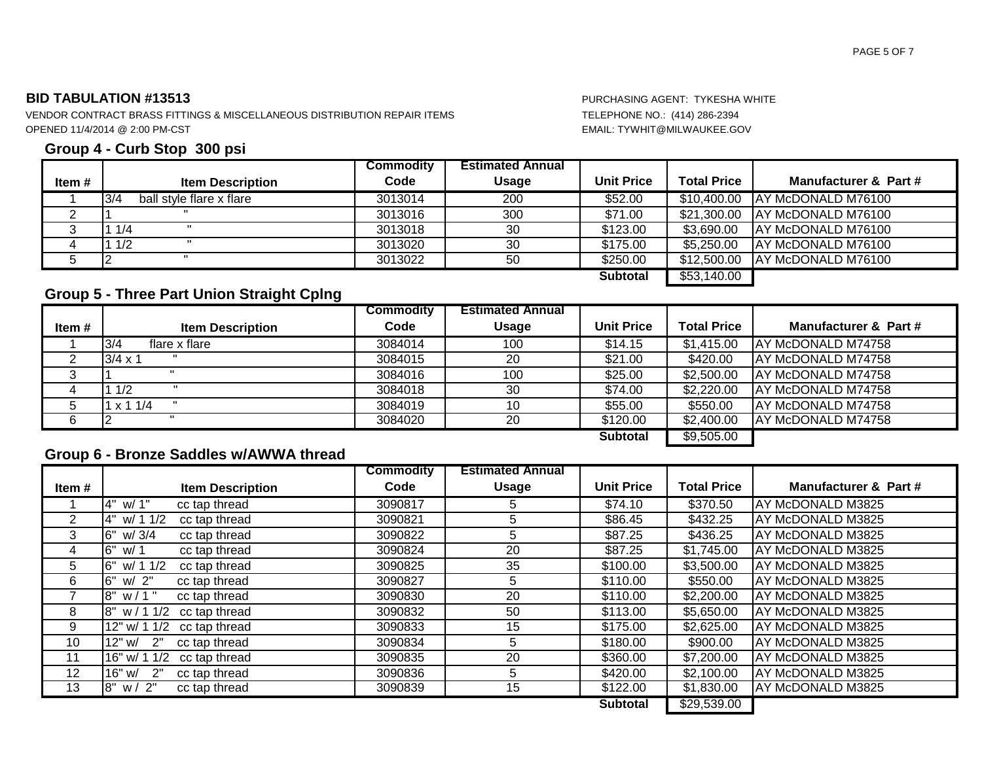VENDOR CONTRACT BRASS FITTINGS & MISCELLANEOUS DISTRIBUTION REPAIR ITEMS TELEPHONE NO.: (414) 286-2394 OPENED 11/4/2014 @ 2:00 PM-CST EMAIL: TYWHIT@MILWAUKEE.GOV

### **Group 4 - Curb Stop 300 psi**

|       |                                 | <b>Commodity</b> | <b>Estimated Annual</b> |                   |                    |                                |
|-------|---------------------------------|------------------|-------------------------|-------------------|--------------------|--------------------------------|
| Item# | <b>Item Description</b>         | Code             | <b>Usage</b>            | <b>Unit Price</b> | <b>Total Price</b> | Manufacturer & Part #          |
|       | 3/4<br>ball style flare x flare | 3013014          | 200                     | \$52.00           |                    | \$10,400.00 AY McDONALD M76100 |
|       |                                 | 3013016          | 300                     | \$71.00           |                    | \$21,300.00 AY McDONALD M76100 |
|       | 11/4                            | 3013018          | 30                      | \$123.00          | \$3,690.00         | IAY McDONALD M76100            |
|       | 11/2                            | 3013020          | 30                      | \$175.00          | \$5,250.00         | <b>AY McDONALD M76100</b>      |
|       |                                 | 3013022          | 50                      | \$250.00          |                    | \$12,500.00 AY McDONALD M76100 |
|       |                                 |                  |                         | <b>Subtotal</b>   | \$53,140.00        |                                |

## **Group 5 - Three Part Union Straight Cplng**

|       |                         | <b>Commodity</b> | <b>Estimated Annual</b> |                   |                    |                            |
|-------|-------------------------|------------------|-------------------------|-------------------|--------------------|----------------------------|
| Item# | <b>Item Description</b> | Code             | <b>Usage</b>            | <b>Unit Price</b> | <b>Total Price</b> | Manufacturer & Part #      |
|       | 3/4<br>flare x flare    | 3084014          | 100                     | \$14.15           | \$1,415.00         | AY McDONALD M74758         |
|       | $3/4 \times 1$          | 3084015          | 20                      | \$21.00           | \$420.00           | IAY McDONALD M74758        |
| 3     |                         | 3084016          | 100                     | \$25.00           | \$2,500.00         | <b>JAY McDONALD M74758</b> |
| 4     | 1 1/2                   | 3084018          | 30                      | \$74.00           | \$2,220.00         | IAY McDONALD M74758        |
| b     | $1 \times 11/4$         | 3084019          | 10                      | \$55.00           | \$550.00           | IAY McDONALD M74758        |
| 6     |                         | 3084020          | 20                      | \$120.00          | \$2,400.00         | IAY McDONALD M74758        |
|       |                         |                  |                         | <b>Subtotal</b>   | \$9,505.00         |                            |

## **Group 6 - Bronze Saddles w/AWWA thread**

|       |                                      | <b>Commodity</b> | <b>Estimated Annual</b> |                   |                    |                       |
|-------|--------------------------------------|------------------|-------------------------|-------------------|--------------------|-----------------------|
| Item# | <b>Item Description</b>              | Code             | <b>Usage</b>            | <b>Unit Price</b> | <b>Total Price</b> | Manufacturer & Part # |
|       | 4" w/ 1"<br>cc tap thread            | 3090817          | 5                       | \$74.10           | \$370.50           | AY McDONALD M3825     |
| 2     | cc tap thread<br>4"<br>w/ 1 1/2      | 3090821          | 5                       | \$86.45           | \$432.25           | AY McDONALD M3825     |
| 3     | <b>16"</b><br>w/3/4<br>cc tap thread | 3090822          | 5                       | \$87.25           | \$436.25           | AY McDONALD M3825     |
| 4     | 16"<br>cc tap thread<br>w/ 1         | 3090824          | 20                      | \$87.25           | \$1,745.00         | AY McDONALD M3825     |
| 5     | 16"<br>w/ 1 1/2<br>cc tap thread     | 3090825          | 35                      | \$100.00          | \$3,500.00         | AY McDONALD M3825     |
| 6     | 16"<br>w/ 2"<br>cc tap thread        | 3090827          | 5                       | \$110.00          | \$550.00           | AY McDONALD M3825     |
|       | 18"<br>$w/1$ "<br>cc tap thread      | 3090830          | 20                      | \$110.00          | \$2,200.00         | AY McDONALD M3825     |
| 8     | 18"<br>w/11/2<br>cc tap thread       | 3090832          | 50                      | \$113.00          | \$5,650.00         | AY McDONALD M3825     |
| 9     | 12" w/ 1 1/2<br>cc tap thread        | 3090833          | 15                      | \$175.00          | \$2,625.00         | AY McDONALD M3825     |
| 10    | 12" w/<br>2"<br>cc tap thread        | 3090834          | 5                       | \$180.00          | \$900.00           | AY McDONALD M3825     |
| 11    | 16" w/ 1 1/2<br>cc tap thread        | 3090835          | 20                      | \$360.00          | \$7,200.00         | AY McDONALD M3825     |
| 12    | 16" w/<br>2"<br>cc tap thread        | 3090836          | 5                       | \$420.00          | \$2,100.00         | AY McDONALD M3825     |
| 13    | 8" w/ 2"<br>cc tap thread            | 3090839          | 15                      | \$122.00          | \$1,830.00         | AY McDONALD M3825     |
|       |                                      |                  |                         | <b>Subtotal</b>   | \$29,539.00        |                       |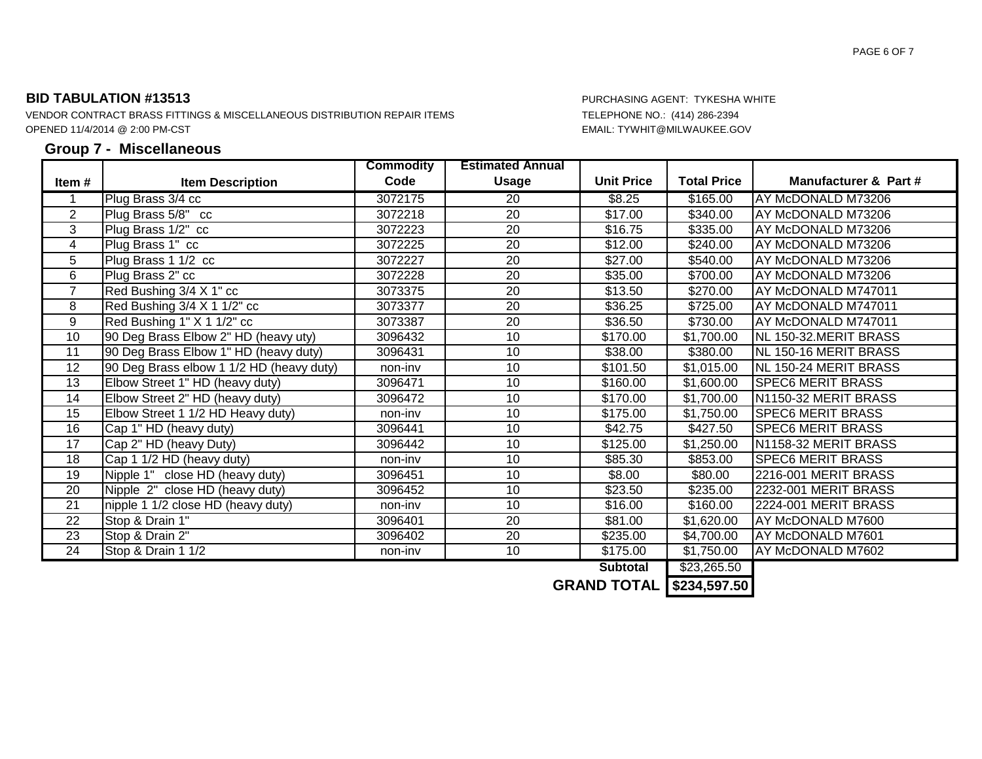VENDOR CONTRACT BRASS FITTINGS & MISCELLANEOUS DISTRIBUTION REPAIR ITEMS TELEPHONE NO.: (414) 286-2394 OPENED 11/4/2014 @ 2:00 PM-CST EMAIL: TYWHIT@MILWAUKEE.GOV

### **Group 7 - Miscellaneous**

|                 |                                          | <b>Commodity</b> | <b>Estimated Annual</b> |                   |                    |                          |
|-----------------|------------------------------------------|------------------|-------------------------|-------------------|--------------------|--------------------------|
| Item #          | <b>Item Description</b>                  | Code             | <b>Usage</b>            | <b>Unit Price</b> | <b>Total Price</b> | Manufacturer & Part #    |
|                 | Plug Brass 3/4 cc                        | 3072175          | 20                      | \$8.25            | \$165.00           | AY McDONALD M73206       |
| $\overline{2}$  | Plug Brass 5/8" cc                       | 3072218          | $\overline{20}$         | $\sqrt{$17.00}$   | \$340.00           | AY McDONALD M73206       |
| $\overline{3}$  | Plug Brass 1/2" cc                       | 3072223          | $\overline{20}$         | \$16.75           | \$335.00           | AY McDONALD M73206       |
| 4               | Plug Brass 1" cc                         | 3072225          | $\overline{20}$         | \$12.00           | \$240.00           | AY McDONALD M73206       |
| 5               | Plug Brass 1 1/2 cc                      | 3072227          | $\overline{20}$         | \$27.00           | \$540.00           | AY McDONALD M73206       |
| 6               | Plug Brass 2" cc                         | 3072228          | $\overline{20}$         | \$35.00           | \$700.00           | AY McDONALD M73206       |
| $\overline{7}$  | Red Bushing 3/4 X 1" cc                  | 3073375          | 20                      | \$13.50           | \$270.00           | AY McDONALD M747011      |
| 8               | Red Bushing 3/4 X 1 1/2" cc              | 3073377          | 20                      | \$36.25           | \$725.00           | AY McDONALD M747011      |
| 9               | Red Bushing 1" X 1 1/2" cc               | 3073387          | 20                      | \$36.50           | \$730.00           | AY McDONALD M747011      |
| 10              | 90 Deg Brass Elbow 2" HD (heavy uty)     | 3096432          | 10                      | \$170.00          | \$1,700.00         | NL 150-32.MERIT BRASS    |
| 11              | 90 Deg Brass Elbow 1" HD (heavy duty)    | 3096431          | 10                      | \$38.00           | \$380.00           | NL 150-16 MERIT BRASS    |
| 12              | 90 Deg Brass elbow 1 1/2 HD (heavy duty) | non-inv          | 10                      | \$101.50          | \$1,015.00         | NL 150-24 MERIT BRASS    |
| 13              | Elbow Street 1" HD (heavy duty)          | 3096471          | 10                      | \$160.00          | \$1,600.00         | <b>SPEC6 MERIT BRASS</b> |
| 14              | Elbow Street 2" HD (heavy duty)          | 3096472          | 10                      | \$170.00          | \$1,700.00         | N1150-32 MERIT BRASS     |
| $\overline{15}$ | Elbow Street 1 1/2 HD Heavy duty)        | non-inv          | 10                      | \$175.00          | \$1,750.00         | <b>SPEC6 MERIT BRASS</b> |
| 16              | Cap 1" HD (heavy duty)                   | 3096441          | 10                      | \$42.75           | \$427.50           | <b>SPEC6 MERIT BRASS</b> |
| 17              | Cap 2" HD (heavy Duty)                   | 3096442          | 10                      | \$125.00          | \$1,250.00         | N1158-32 MERIT BRASS     |
| 18              | Cap 1 1/2 HD (heavy duty)                | non-inv          | 10                      | \$85.30           | \$853.00           | <b>SPEC6 MERIT BRASS</b> |
| 19              | Nipple 1" close HD (heavy duty)          | 3096451          | 10                      | \$8.00            | \$80.00            | 2216-001 MERIT BRASS     |
| 20              | Nipple 2" close HD (heavy duty)          | 3096452          | 10                      | \$23.50           | \$235.00           | 2232-001 MERIT BRASS     |
| 21              | nipple 1 1/2 close HD (heavy duty)       | non-inv          | 10                      | \$16.00           | \$160.00           | 2224-001 MERIT BRASS     |
| 22              | Stop & Drain 1"                          | 3096401          | 20                      | \$81.00           | \$1,620.00         | AY McDONALD M7600        |
| 23              | Stop & Drain 2"                          | 3096402          | 20                      | \$235.00          | \$4,700.00         | AY McDONALD M7601        |
| $\overline{24}$ | Stop & Drain 1 1/2                       | non-inv          | 10                      | \$175.00          | \$1,750.00         | AY McDONALD M7602        |
|                 |                                          |                  |                         | <b>Subtotal</b>   | \$23,265.50        |                          |

**GRAND TOTAL \$234,597.50**

PAGE 6 OF 7